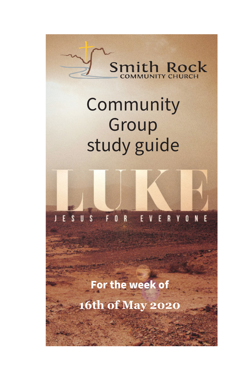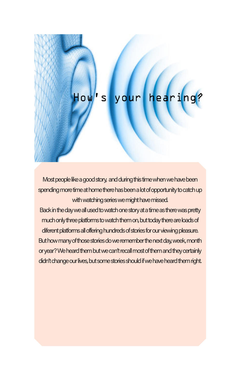#### hearing  $Iow's$ your

Most people like a good story, and during this time when we have been spending more time at home there has been a lot of opportunity to catch up with watching series we might have missed.

Back in the day we all used to watch one story at a time as there was pretty much only three platforms to watch them on, but today there are loads of diferent platforms all offering hundreds of stories for our viewing pleasure. But how many of those stories do we remember the next day, week, month or year? We heard them but we can't recall most of them and they certainly didn't change our lives, but some stories should if we have heard them right.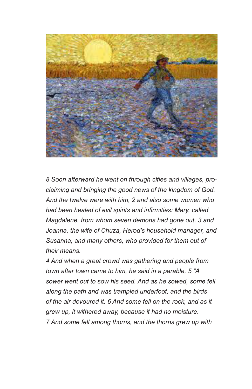

*8 Soon afterward he went on through cities and villages, proclaiming and bringing the good news of the kingdom of God. And the twelve were with him, 2 and also some women who had been healed of evil spirits and infirmities: Mary, called Magdalene, from whom seven demons had gone out, 3 and Joanna, the wife of Chuza, Herod's household manager, and Susanna, and many others, who provided for them out of their means.* 

*4 And when a great crowd was gathering and people from town after town came to him, he said in a parable, 5 "A sower went out to sow his seed. And as he sowed, some fell along the path and was trampled underfoot, and the birds of the air devoured it. 6 And some fell on the rock, and as it grew up, it withered away, because it had no moisture. 7 And some fell among thorns, and the thorns grew up with*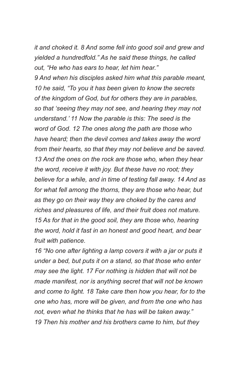*it and choked it. 8 And some fell into good soil and grew and yielded a hundredfold." As he said these things, he called out, "He who has ears to hear, let him hear."* 

*9 And when his disciples asked him what this parable meant, 10 he said, "To you it has been given to know the secrets of the kingdom of God, but for others they are in parables, so that 'seeing they may not see, and hearing they may not understand.' 11 Now the parable is this: The seed is the word of God. 12 The ones along the path are those who have heard; then the devil comes and takes away the word from their hearts, so that they may not believe and be saved. 13 And the ones on the rock are those who, when they hear the word, receive it with joy. But these have no root; they believe for a while, and in time of testing fall away. 14 And as for what fell among the thorns, they are those who hear, but as they go on their way they are choked by the cares and riches and pleasures of life, and their fruit does not mature. 15 As for that in the good soil, they are those who, hearing the word, hold it fast in an honest and good heart, and bear fruit with patience.* 

*16 "No one after lighting a lamp covers it with a jar or puts it under a bed, but puts it on a stand, so that those who enter may see the light. 17 For nothing is hidden that will not be made manifest, nor is anything secret that will not be known and come to light. 18 Take care then how you hear, for to the one who has, more will be given, and from the one who has not, even what he thinks that he has will be taken away." 19 Then his mother and his brothers came to him, but they*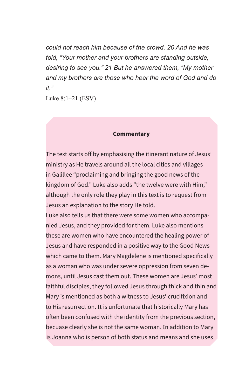*could not reach him because of the crowd. 20 And he was told, "Your mother and your brothers are standing outside, desiring to see you." 21 But he answered them, "My mother and my brothers are those who hear the word of God and do it."*

Luke 8:1–21 (ESV)

#### **Commentary**

The text starts off by emphasising the itinerant nature of Jesus' ministry as He travels around all the local cities and villages in Galillee "proclaiming and bringing the good news of the kingdom of God." Luke also adds "the twelve were with Him," although the only role they play in this text is to request from Jesus an explanation to the story He told.

Luke also tells us that there were some women who accompanied Jesus, and they provided for them. Luke also mentions these are women who have encountered the healing power of Jesus and have responded in a positive way to the Good News which came to them. Mary Magdelene is mentioned specifically as a woman who was under severe oppression from seven demons, until Jesus cast them out. These women are Jesus' most faithful disciples, they followed Jesus through thick and thin and Mary is mentioned as both a witness to Jesus' crucifixion and to His resurrection. It is unfortunate that historically Mary has often been confused with the identity from the previous section, becuase clearly she is not the same woman. In addition to Mary is Joanna who is person of both status and means and she uses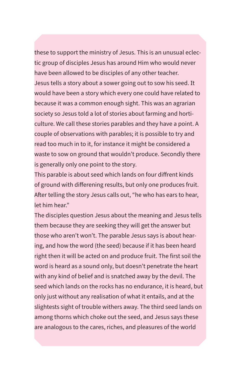these to support the ministry of Jesus. This is an unusual eclectic group of disciples Jesus has around Him who would never have been allowed to be disciples of any other teacher. Jesus tells a story about a sower going out to sow his seed. It would have been a story which every one could have related to because it was a common enough sight. This was an agrarian society so Jesus told a lot of stories about farming and horticulture. We call these stories parables and they have a point. A couple of observations with parables; it is possible to try and read too much in to it, for instance it might be considered a waste to sow on ground that wouldn't produce. Secondly there is generally only one point to the story.

This parable is about seed which lands on four diffrent kinds of ground with differening results, but only one produces fruit. After telling the story Jesus calls out, "he who has ears to hear, let him hear."

The disciples question Jesus about the meaning and Jesus tells them because they are seeking they will get the answer but those who aren't won't. The parable Jesus says is about hearing, and how the word (the seed) because if it has been heard right then it will be acted on and produce fruit. The first soil the word is heard as a sound only, but doesn't penetrate the heart with any kind of belief and is snatched away by the devil. The seed which lands on the rocks has no endurance, it is heard, but only just without any realisation of what it entails, and at the slightests sight of trouble withers away. The third seed lands on among thorns which choke out the seed, and Jesus says these are analogous to the cares, riches, and pleasures of the world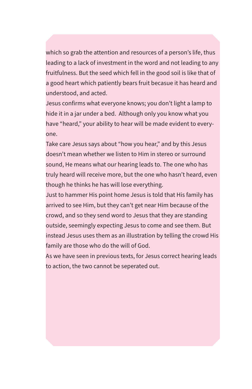which so grab the attention and resources of a person's life, thus leading to a lack of investment in the word and not leading to any fruitfulness. But the seed which fell in the good soil is like that of a good heart which patiently bears fruit becasue it has heard and understood, and acted.

Jesus confirms what everyone knows; you don't light a lamp to hide it in a jar under a bed. Although only you know what you have "heard," your ability to hear will be made evident to everyone.

Take care Jesus says about "how you hear," and by this Jesus doesn't mean whether we listen to Him in stereo or surround sound, He means what our hearing leads to. The one who has truly heard will receive more, but the one who hasn't heard, even though he thinks he has will lose everything.

Just to hammer His point home Jesus is told that His family has arrived to see Him, but they can't get near Him because of the crowd, and so they send word to Jesus that they are standing outside, seemingly expecting Jesus to come and see them. But instead Jesus uses them as an illustration by telling the crowd His family are those who do the will of God.

As we have seen in previous texts, for Jesus correct hearing leads to action, the two cannot be seperated out.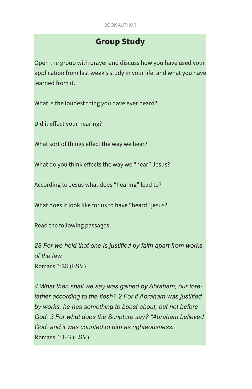# **Group Study**

Open the group with prayer and discuss how you have used your application from last week's study in your life, and what you have learned from it.

What is the loudest thing you have ever heard?

Did it effect your hearing?

What sort of things effect the way we hear?

What do you think effects the way we "hear" Jesus?

According to Jesus what does "hearing" lead to?

What does it look like for us to have "heard" jesus?

Read the following passages.

*28 For we hold that one is justified by faith apart from works of the law.* Romans 3:28 (ESV)

*4 What then shall we say was gained by Abraham, our forefather according to the flesh? 2 For if Abraham was justified by works, he has something to boast about, but not before God. 3 For what does the Scripture say? "Abraham believed God, and it was counted to him as righteousness."* Romans 4:1–3 (ESV)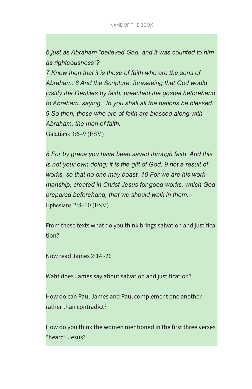*6 just as Abraham "believed God, and it was counted to him as righteousness"?* 

*7 Know then that it is those of faith who are the sons of Abraham. 8 And the Scripture, foreseeing that God would justify the Gentiles by faith, preached the gospel beforehand to Abraham, saying, "In you shall all the nations be blessed." 9 So then, those who are of faith are blessed along with Abraham, the man of faith.*

Galatians 3:6–9 (ESV)

*8 For by grace you have been saved through faith. And this is not your own doing; it is the gift of God, 9 not a result of works, so that no one may boast. 10 For we are his workmanship, created in Christ Jesus for good works, which God prepared beforehand, that we should walk in them.* Ephesians 2:8–10 (ESV)

From these texts what do you think brings salvation and justification?

Now read James 2:14 -26

Waht does James say about salvation and justification?

How do can Paul James and Paul complement one another rather than contradict?

How do you think the women mentioned in the first three verses "heard" Jesus?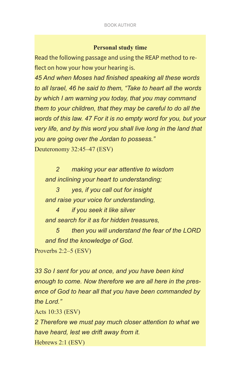### **Personal study time**

Read the following passage and using the REAP method to reflect on how your how your hearing is.

*45 And when Moses had finished speaking all these words to all Israel, 46 he said to them, "Take to heart all the words by which I am warning you today, that you may command them to your children, that they may be careful to do all the words of this law. 47 For it is no empty word for you, but your very life, and by this word you shall live long in the land that you are going over the Jordan to possess."* Deuteronomy 32:45–47 (ESV)

 *2 making your ear attentive to wisdom and inclining your heart to understanding;* 

 *3 yes, if you call out for insight and raise your voice for understanding,* 

 *4 if you seek it like silver and search for it as for hidden treasures,* 

 *5 then you will understand the fear of the LORD and find the knowledge of God.*

Proverbs 2:2–5 (ESV)

*33 So I sent for you at once, and you have been kind enough to come. Now therefore we are all here in the presence of God to hear all that you have been commanded by the Lord."*

Acts 10:33 (ESV)

*2 Therefore we must pay much closer attention to what we have heard, lest we drift away from it.*

Hebrews 2:1 (ESV)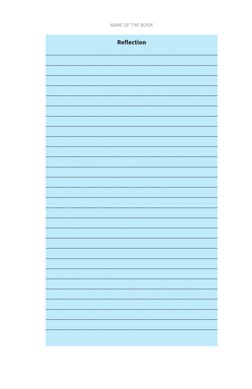NAME OF THE BOOK

| Reflection |
|------------|
|            |
|            |
|            |
|            |
|            |
|            |
|            |
|            |
|            |
|            |
|            |
|            |
|            |
|            |
|            |
|            |
|            |
|            |
|            |
|            |
|            |
|            |
|            |
|            |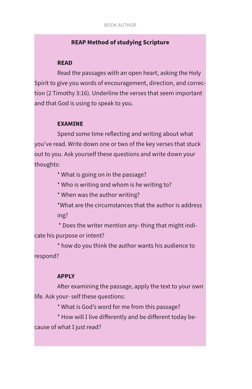## **REAP Method of studying Scripture**

#### **READ**

Read the passages with an open heart, asking the Holy Spirit to give you words of encouragement, direction, and correction (2 Timothy 3:16). Underline the verses that seem important and that God is using to speak to you.

#### **EXAMINE**

Spend some time reflecting and writing about what you've read. Write down one or two of the key verses that stuck out to you. Ask yourself these questions and write down your thoughts:

\* What is going on in the passage?

\* Who is writing and whom is he writing to?

\* When was the author writing?

\*What are the circumstances that the author is address ing?

\* Does the writer mention any- thing that might indi-

cate his purpose or intent?

\* how do you think the author wants his audience to respond?

### **APPLY**

After examining the passage, apply the text to your own life. Ask your- self these questions:

\* What is God's word for me from this passage?

\* How will I live differently and be different today be-

cause of what I just read?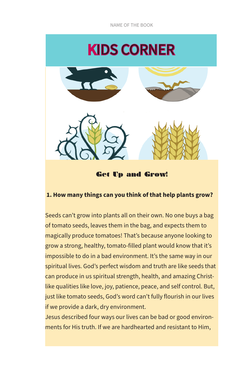NAME OF THE BOOK



Get Up and Grow!

# **1. How many things can you think of that help plants grow?**

Seeds can't grow into plants all on their own. No one buys a bag of tomato seeds, leaves them in the bag, and expects them to magically produce tomatoes! That's because anyone looking to grow a strong, healthy, tomato-filled plant would know that it's impossible to do in a bad environment. It's the same way in our spiritual lives. God's perfect wisdom and truth are like seeds that can produce in us spiritual strength, health, and amazing Christlike qualities like love, joy, patience, peace, and self control. But, just like tomato seeds, God's word can't fully flourish in our lives if we provide a dark, dry environment.

Jesus described four ways our lives can be bad or good environments for His truth. If we are hardhearted and resistant to Him,